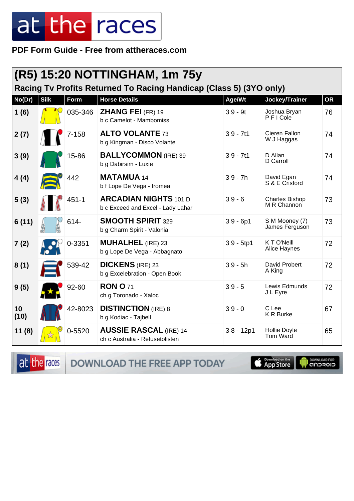PDF Form Guide - Free from attheraces.com

|            | (R5) 15:20 NOTTINGHAM, 1m 75y                                      |           |                                                                   |             |                                      |           |  |  |
|------------|--------------------------------------------------------------------|-----------|-------------------------------------------------------------------|-------------|--------------------------------------|-----------|--|--|
|            | Racing Tv Profits Returned To Racing Handicap (Class 5) (3YO only) |           |                                                                   |             |                                      |           |  |  |
| No(Dr)     | <b>Silk</b>                                                        | Form      | <b>Horse Details</b>                                              | Age/Wt      | Jockey/Trainer                       | <b>OR</b> |  |  |
| 1(6)       |                                                                    | 035-346   | <b>ZHANG FEI (FR) 19</b><br>b c Camelot - Mambomiss               | $39 - 9t$   | Joshua Bryan<br>PFICole              | 76        |  |  |
| 2(7)       |                                                                    | $7 - 158$ | <b>ALTO VOLANTE 73</b><br>b g Kingman - Disco Volante             | $39 - 7t1$  | Cieren Fallon<br>W J Haggas          | 74        |  |  |
| 3(9)       |                                                                    | 15-86     | <b>BALLYCOMMON</b> (IRE) 39<br>b g Dabirsim - Luxie               | $39 - 7t1$  | D Allan<br>D Carroll                 | 74        |  |  |
| 4(4)       |                                                                    | 442       | <b>MATAMUA 14</b><br>b f Lope De Vega - Iromea                    | $39 - 7h$   | David Egan<br>S & E Crisford         | 74        |  |  |
| 5(3)       |                                                                    | $451 - 1$ | <b>ARCADIAN NIGHTS 101 D</b><br>b c Exceed and Excel - Lady Lahar | $39 - 6$    | <b>Charles Bishop</b><br>M R Channon | 73        |  |  |
| 6(11)      |                                                                    | 614-      | <b>SMOOTH SPIRIT 329</b><br>b g Charm Spirit - Valonia            | $39 - 6p1$  | S M Mooney (7)<br>James Ferguson     | 73        |  |  |
| 7(2)       |                                                                    | 0-3351    | <b>MUHALHEL (IRE) 23</b><br>b g Lope De Vega - Abbagnato          | $39 - 5tp1$ | KTO'Neill<br>Alice Haynes            | 72        |  |  |
| 8(1)       |                                                                    | 539-42    | <b>DICKENS</b> (IRE) 23<br>b g Excelebration - Open Book          | $39 - 5h$   | David Probert<br>A King              | 72        |  |  |
| 9(5)       |                                                                    | 92-60     | <b>RON O 71</b><br>ch g Toronado - Xaloc                          | $39 - 5$    | Lewis Edmunds<br>J L Eyre            | 72        |  |  |
| 10<br>(10) |                                                                    | 42-8023   | <b>DISTINCTION</b> (IRE) 8<br>b g Kodiac - Tajbell                | $39 - 0$    | C Lee<br><b>K R Burke</b>            | 67        |  |  |
| 11(8)      |                                                                    | 0-5520    | <b>AUSSIE RASCAL (IRE) 14</b><br>ch c Australia - Refusetolisten  | $38 - 12p1$ | <b>Hollie Doyle</b><br>Tom Ward      | 65        |  |  |

at the races

DOWNLOAD THE FREE APP TODAY

**S** Download on the

**DOWNLOAD FOR**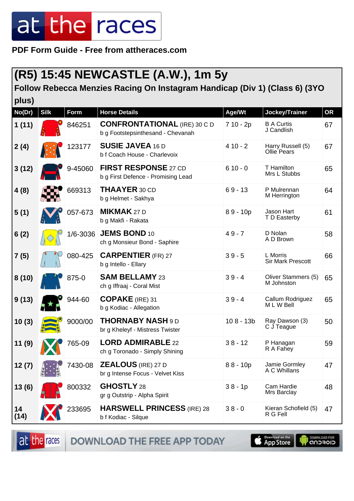**PDF Form Guide - Free from attheraces.com**

### **(R5) 15:45 NEWCASTLE (A.W.), 1m 5y**

#### **Follow Rebecca Menzies Racing On Instagram Handicap (Div 1) (Class 6) (3YO**

| plus)      |             |             |                                                                          |             |                                         |           |
|------------|-------------|-------------|--------------------------------------------------------------------------|-------------|-----------------------------------------|-----------|
| No(Dr)     | <b>Silk</b> | <b>Form</b> | <b>Horse Details</b>                                                     | Age/Wt      | Jockey/Trainer                          | <b>OR</b> |
| 1(11)      |             | 846251      | <b>CONFRONTATIONAL</b> (IRE) 30 C D<br>b g Footstepsinthesand - Chevanah | $710 - 2p$  | <b>B A Curtis</b><br>J Candlish         | 67        |
| 2(4)       |             | 123177      | <b>SUSIE JAVEA 16 D</b><br>b f Coach House - Charlevoix                  | $410 - 2$   | Harry Russell (5)<br><b>Ollie Pears</b> | 67        |
| 3(12)      |             | 9-45060     | <b>FIRST RESPONSE 27 CD</b><br>b g First Defence - Promising Lead        | $610 - 0$   | T Hamilton<br>Mrs L Stubbs              | 65        |
| 4(8)       |             | 669313      | <b>THAAYER 30 CD</b><br>b g Helmet - Sakhya                              | $69 - 13$   | P Mulrennan<br>M Herrington             | 64        |
| 5(1)       |             | 057-673     | <b>MIKMAK 27 D</b><br>b g Makfi - Rakata                                 | $89 - 10p$  | Jason Hart<br>T D Easterby              | 61        |
| 6(2)       |             | 1/6-3036    | <b>JEMS BOND 10</b><br>ch g Monsieur Bond - Saphire                      | $49 - 7$    | D Nolan<br>A D Brown                    | 58        |
| 7(5)       |             | 080-425     | <b>CARPENTIER (FR) 27</b><br>b g Intello - Ellary                        | $39 - 5$    | L Morris<br><b>Sir Mark Prescott</b>    | 66        |
| 8(10)      |             | 875-0       | <b>SAM BELLAMY 23</b><br>ch g Iffraaj - Coral Mist                       | $39 - 4$    | Oliver Stammers (5)<br>M Johnston       | 65        |
| 9(13)      |             | 944-60      | <b>COPAKE</b> (IRE) 31<br>b g Kodiac - Allegation                        | $39 - 4$    | Callum Rodriguez<br>M L W Bell          | 65        |
| 10(3)      |             | 9000/00     | <b>THORNABY NASH 9 D</b><br>br g Kheleyf - Mistress Twister              | $108 - 13b$ | Ray Dawson (3)<br>C J Teague            | 50        |
| 11(9)      |             | 765-09      | <b>LORD ADMIRABLE 22</b><br>ch g Toronado - Simply Shining               | $38 - 12$   | P Hanagan<br>R A Fahey                  | 59        |
| 12 (7)     |             | 7430-08     | <b>ZEALOUS</b> (IRE) 27 D<br>br g Intense Focus - Velvet Kiss            | $88 - 10p$  | Jamie Gormley<br>A C Whillans           | 47        |
| 13(6)      |             | 800332      | GHOSTLY 28<br>gr g Outstrip - Alpha Spirit                               | $38 - 1p$   | Cam Hardie<br>Mrs Barclay               | 48        |
| 14<br>(14) |             | 233695      | <b>HARSWELL PRINCESS (IRE) 28</b><br>b f Kodiac - Silque                 | $38 - 0$    | Kieran Schofield (5)<br>R G Fell        | 47        |

at the races **DOWNLOAD THE FREE APP TODAY** 

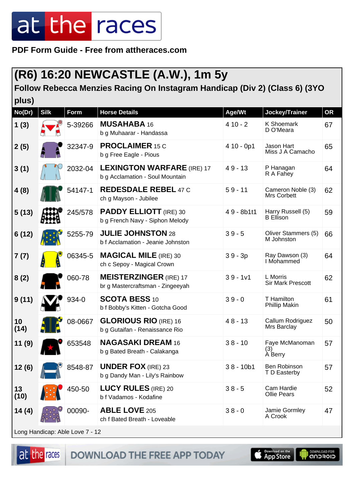**PDF Form Guide - Free from attheraces.com**

### **(R6) 16:20 NEWCASTLE (A.W.), 1m 5y**

#### **Follow Rebecca Menzies Racing On Instagram Handicap (Div 2) (Class 6) (3YO**

| plus)      |             |             |                                                                      |             |                                      |           |
|------------|-------------|-------------|----------------------------------------------------------------------|-------------|--------------------------------------|-----------|
| No(Dr)     | <b>Silk</b> | <b>Form</b> | <b>Horse Details</b>                                                 | Age/Wt      | Jockey/Trainer                       | <b>OR</b> |
| 1(3)       |             | 5-39266     | <b>MUSAHABA 16</b><br>b g Muhaarar - Handassa                        | $410 - 2$   | <b>K Shoemark</b><br>D O'Meara       | 67        |
| 2(5)       |             | 32347-9     | <b>PROCLAIMER 15 C</b><br>b g Free Eagle - Pious                     | $410 - 0p1$ | Jason Hart<br>Miss J A Camacho       | 65        |
| 3(1)       |             | 2032-04     | <b>LEXINGTON WARFARE (IRE) 17</b><br>b g Acclamation - Soul Mountain | $49 - 13$   | P Hanagan<br>R A Fahey               | 64        |
| 4(8)       |             | 54147-1     | <b>REDESDALE REBEL 47 C</b><br>ch g Mayson - Jubilee                 | $59 - 11$   | Cameron Noble (3)<br>Mrs Corbett     | 62        |
| 5(13)      |             | 245/578     | <b>PADDY ELLIOTT</b> (IRE) 30<br>b g French Navy - Siphon Melody     | 49 - 8b1t1  | Harry Russell (5)<br>B Ellison       | 59        |
| 6(12)      |             | 5255-79     | <b>JULIE JOHNSTON 28</b><br>b f Acclamation - Jeanie Johnston        | $39 - 5$    | Oliver Stammers (5)<br>M Johnston    | 66        |
| 7(7)       |             | 06345-5     | <b>MAGICAL MILE (IRE) 30</b><br>ch c Sepoy - Magical Crown           | $39 - 3p$   | Ray Dawson (3)<br>I Mohammed         | 64        |
| 8(2)       |             | 060-78      | <b>MEISTERZINGER (IRE) 17</b><br>br g Mastercraftsman - Zingeeyah    | $39 - 1v1$  | L Morris<br><b>Sir Mark Prescott</b> | 62        |
| 9(11)      |             | 934-0       | <b>SCOTA BESS 10</b><br>b f Bobby's Kitten - Gotcha Good             | $39 - 0$    | T Hamilton<br><b>Phillip Makin</b>   | 61        |
| 10<br>(14) |             | 08-0667     | <b>GLORIOUS RIO (IRE) 16</b><br>b g Gutaifan - Renaissance Rio       | $48 - 13$   | Callum Rodriguez<br>Mrs Barclay      | 50        |
| 11(9)      |             | 653548      | <b>NAGASAKI DREAM 16</b><br>b g Bated Breath - Calakanga             | $38 - 10$   | Faye McManoman<br>(3)<br>A Berry     | 57        |
| 12(6)      |             | 8548-87     | <b>UNDER FOX</b> (IRE) 23<br>b g Dandy Man - Lily's Rainbow          | $38 - 10b1$ | Ben Robinson<br>T D Easterby         | 57        |
| 13<br>(10) |             | 450-50      | <b>LUCY RULES (IRE) 20</b><br>b f Vadamos - Kodafine                 | $38 - 5$    | Cam Hardie<br><b>Ollie Pears</b>     | 52        |
| 14(4)      |             | 00090-      | <b>ABLE LOVE 205</b><br>ch f Bated Breath - Loveable                 | $38 - 0$    | Jamie Gormley<br>A Crook             | 47        |
|            |             |             |                                                                      |             |                                      |           |

Long Handicap: Able Love 7 - 12

at the races DOWNLOAD THE FREE APP TODAY



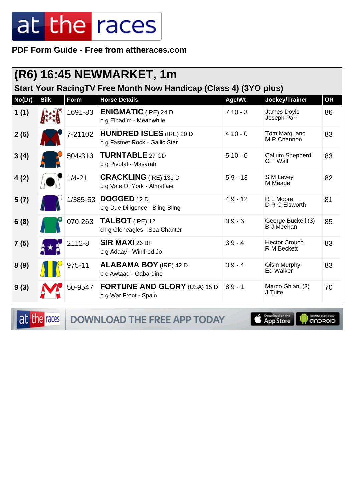**PDF Form Guide - Free from attheraces.com**

| Start Your RacingTV Free Month Now Handicap (Class 4) (3YO plus) |             |            |                                                                   |           |                                         |           |  |
|------------------------------------------------------------------|-------------|------------|-------------------------------------------------------------------|-----------|-----------------------------------------|-----------|--|
| No(Dr)                                                           | <b>Silk</b> | Form       | <b>Horse Details</b>                                              | Age/Wt    | Jockey/Trainer                          | <b>OR</b> |  |
| 1(1)                                                             |             | 1691-83    | <b>ENIGMATIC</b> (IRE) 24 D<br>b g Elnadim - Meanwhile            | $710 - 3$ | James Doyle<br>Joseph Parr              | 86        |  |
| 2(6)                                                             |             | 7-21102    | <b>HUNDRED ISLES</b> (IRE) 20 D<br>b g Fastnet Rock - Gallic Star | $410 - 0$ | Tom Marquand<br>M R Channon             | 83        |  |
| 3(4)                                                             |             | 504-313    | <b>TURNTABLE 27 CD</b><br>b g Pivotal - Masarah                   | $510 - 0$ | Callum Shepherd<br>C F Wall             | 83        |  |
| 4(2)                                                             |             | $1/4 - 21$ | <b>CRACKLING</b> (IRE) 131 D<br>b g Vale Of York - Almatlaie      | $59 - 13$ | S M Levey<br>M Meade                    | 82        |  |
| 5(7)                                                             |             |            | 1/385-53 DOGGED 12 D<br>b g Due Diligence - Bling Bling           | $49 - 12$ | R L Moore<br>D R C Elsworth             | 81        |  |
| 6(8)                                                             |             | 070-263    | TALBOT (IRE) 12<br>ch g Gleneagles - Sea Chanter                  | $39 - 6$  | George Buckell (3)<br><b>B</b> J Meehan | 85        |  |
| 7(5)                                                             |             | 2112-8     | <b>SIR MAXI 26 BF</b><br>b g Adaay - Winifred Jo                  | $39 - 4$  | <b>Hector Crouch</b><br>R M Beckett     | 83        |  |
| 8(9)                                                             |             | 975-11     | <b>ALABAMA BOY</b> (IRE) 42 D<br>b c Awtaad - Gabardine           | $39 - 4$  | Oisin Murphy<br>Ed Walker               | 83        |  |
| 9(3)                                                             |             | 50-9547    | <b>FORTUNE AND GLORY (USA) 15 D</b><br>b g War Front - Spain      | $89 - 1$  | Marco Ghiani (3)<br>J Tuite             | 70        |  |

at the races DOWNLOAD THE FREE APP TODAY

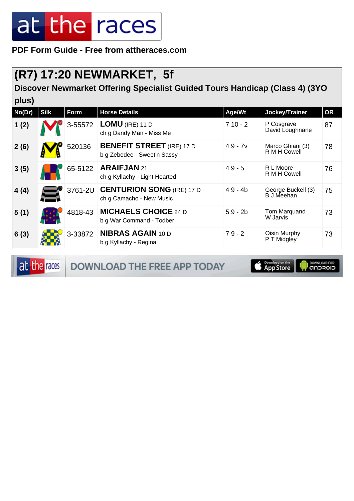**PDF Form Guide - Free from attheraces.com**

#### **(R7) 17:20 NEWMARKET, 5f**

**plus)**

**Discover Newmarket Offering Specialist Guided Tours Handicap (Class 4) (3YO**

| pius)  |             |         |                                                                 |           |                                  |           |  |
|--------|-------------|---------|-----------------------------------------------------------------|-----------|----------------------------------|-----------|--|
| No(Dr) | <b>Silk</b> | Form    | <b>Horse Details</b>                                            | Age/Wt    | Jockey/Trainer                   | <b>OR</b> |  |
| 1(2)   |             | 3-55572 | $LOMU$ (IRE) 11 D<br>ch g Dandy Man - Miss Me                   | $710 - 2$ | P Cosgrave<br>David Loughnane    | 87        |  |
| 2(6)   |             | 520136  | <b>BENEFIT STREET</b> (IRE) 17 D<br>b g Zebedee - Sweet'n Sassy | $49 - 7v$ | Marco Ghiani (3)<br>R M H Cowell | 78        |  |
| 3(5)   |             | 65-5122 | ARAIFJAN 21<br>ch g Kyllachy - Light Hearted                    | $49 - 5$  | R L Moore<br>R M H Cowell        | 76        |  |
| 4(4)   |             | 3761-2U | <b>CENTURION SONG (IRE) 17 D</b><br>ch g Camacho - New Music    | $49 - 4b$ | George Buckell (3)<br>B J Meehan | 75        |  |
| 5(1)   |             | 4818-43 | <b>MICHAELS CHOICE 24 D</b><br>b g War Command - Todber         | $59 - 2b$ | Tom Marquand<br>W Jarvis         | 73        |  |
| 6(3)   |             | 3-33872 | <b>NIBRAS AGAIN 10 D</b><br>b g Kyllachy - Regina               | $79 - 2$  | Oisin Murphy<br>P T Midgley      | 73        |  |

at the races DOWNLOAD THE FREE APP TODAY **Completed on the DOWNLOAD FOR**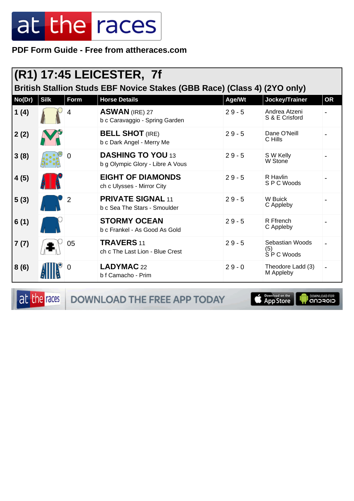PDF Form Guide - Free from attheraces.com

| British Stallion Studs EBF Novice Stakes (GBB Race) (Class 4) (2YO only) |             |             |                                                              |          |                                       |           |  |  |  |
|--------------------------------------------------------------------------|-------------|-------------|--------------------------------------------------------------|----------|---------------------------------------|-----------|--|--|--|
| No(Dr)                                                                   | <b>Silk</b> | <b>Form</b> | <b>Horse Details</b>                                         | Age/Wt   | Jockey/Trainer                        | <b>OR</b> |  |  |  |
| 1(4)                                                                     |             | 4           | <b>ASWAN (IRE) 27</b><br>b c Caravaggio - Spring Garden      | $29 - 5$ | Andrea Atzeni<br>S & E Crisford       |           |  |  |  |
| 2(2)                                                                     |             |             | <b>BELL SHOT (IRE)</b><br>b c Dark Angel - Merry Me          | $29 - 5$ | Dane O'Neill<br>C Hills               |           |  |  |  |
| 3(8)                                                                     |             | 0           | <b>DASHING TO YOU 13</b><br>b g Olympic Glory - Libre A Vous | $29 - 5$ | S W Kelly<br>W Stone                  |           |  |  |  |
| 4(5)                                                                     |             |             | <b>EIGHT OF DIAMONDS</b><br>ch c Ulysses - Mirror City       | $29 - 5$ | R Havlin<br>SPC Woods                 |           |  |  |  |
| 5(3)                                                                     |             | 2           | <b>PRIVATE SIGNAL 11</b><br>b c Sea The Stars - Smoulder     | $29 - 5$ | W Buick<br>C Appleby                  |           |  |  |  |
| 6(1)                                                                     |             |             | <b>STORMY OCEAN</b><br>b c Frankel - As Good As Gold         | $29 - 5$ | R Ffrench<br>C Appleby                |           |  |  |  |
| 7(7)                                                                     |             | 05          | <b>TRAVERS 11</b><br>ch c The Last Lion - Blue Crest         | $29 - 5$ | Sebastian Woods<br>(5)<br>S P C Woods |           |  |  |  |
| 8(6)                                                                     |             | 0           | LADYMAC 22<br>b f Camacho - Prim                             | $29 - 0$ | Theodore Ladd (3)<br>M Appleby        |           |  |  |  |

at the races

DOWNLOAD THE FREE APP TODAY

**Example of the App Store** 

**I DOWNLOAD FOR**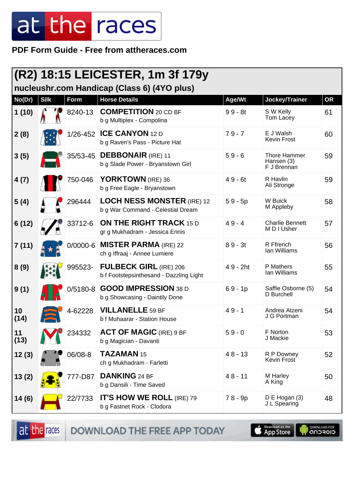PDF Form Guide - Free from attheraces.com

| <b>(R2) 18:15 LEICESTER, 1m 3f 179y</b><br>nucleushr.com Handicap (Class 6) (4YO plus) |             |             |                                                                          |           |                                           |           |  |
|----------------------------------------------------------------------------------------|-------------|-------------|--------------------------------------------------------------------------|-----------|-------------------------------------------|-----------|--|
| No(Dr)                                                                                 | <b>Silk</b> | <b>Form</b> | <b>Horse Details</b>                                                     | Age/Wt    | Jockey/Trainer                            | <b>OR</b> |  |
| 1(10)                                                                                  |             | 8240-13     | <b>COMPETITION</b> 20 CD BF<br>b g Multiplex - Compolina                 | $99 - 8t$ | S W Kelly<br>Tom Lacey                    | 61        |  |
| 2(8)                                                                                   |             | 1/26-452    | <b>ICE CANYON 12 D</b><br>b g Raven's Pass - Picture Hat                 | $79 - 7$  | E J Walsh<br><b>Kevin Frost</b>           | 60        |  |
| 3(5)                                                                                   |             | 35/53-45    | <b>DEBBONAIR</b> (IRE) 11<br>b g Slade Power - Bryanstown Girl           | $59 - 6$  | Thore Hammer<br>Hansen (3)<br>F J Brennan | 59        |  |
| 4(7)                                                                                   |             | 750-046     | YORKTOWN (IRE) 36<br>b g Free Eagle - Bryanstown                         | $49 - 6t$ | R Havlin<br>Ali Stronge                   | 59        |  |
| 5(4)                                                                                   |             | 296444      | <b>LOCH NESS MONSTER (IRE) 12</b><br>b g War Command - Celestial Dream   | $59 - 5p$ | W Buick<br>M Appleby                      | 58        |  |
| 6(12)                                                                                  |             | 33712-6     | <b>ON THE RIGHT TRACK 15 D</b><br>gr g Mukhadram - Jessica Ennis         | $49 - 4$  | <b>Charlie Bennett</b><br>M D I Usher     | 57        |  |
| 7(11)                                                                                  |             | 0/0000-6    | <b>MISTER PARMA (IRE) 22</b><br>ch g Iffraaj - Annee Lumiere             | $89 - 3t$ | R Ffrench<br>Ian Williams                 | 56        |  |
| 8(9)                                                                                   |             | 995523-     | <b>FULBECK GIRL (IRE) 206</b><br>b f Footstepsinthesand - Dazzling Light | 49 - 2ht  | P Mathers<br>lan Williams                 | 55        |  |
| 9(1)                                                                                   |             | $0/5180-8$  | <b>GOOD IMPRESSION 38 D</b><br>b g Showcasing - Daintily Done            | $69 - 1p$ | Saffie Osborne (5)<br>D Burchell          | 54        |  |
| 10<br>(14)                                                                             |             | 4-62228     | <b>VILLANELLE 59 BF</b><br>b f Muhaarar - Station House                  | $49 - 1$  | Andrea Atzeni<br>J G Portman              | 54        |  |
| 11<br>(13)                                                                             |             | 234332      | <b>ACT OF MAGIC (IRE) 9 BF</b><br>b g Magician - Davanti                 | $59 - 0$  | F Norton<br>J Mackie                      | 53        |  |
| 12(3)                                                                                  |             | 06/08-8     | TAZAMAN 15<br>ch g Mukhadram - Farletti                                  | $48 - 13$ | R P Downey<br>Kevin Frost                 | 52        |  |
| 13(2)                                                                                  |             | 777-D87     | <b>DANKING 24 BF</b><br>b g Dansili - Time Saved                         | $48 - 11$ | M Harley<br>A King                        | 50        |  |
| 14(6)                                                                                  |             | 22/7733     | <b>IT'S HOW WE ROLL (IRE) 79</b><br>b g Fastnet Rock - Clodora           | 78 - 9p   | $D \to Hogan(3)$<br>J L Spearing          | 48        |  |

at the races

DOWNLOAD THE FREE APP TODAY

**Completed on the** 

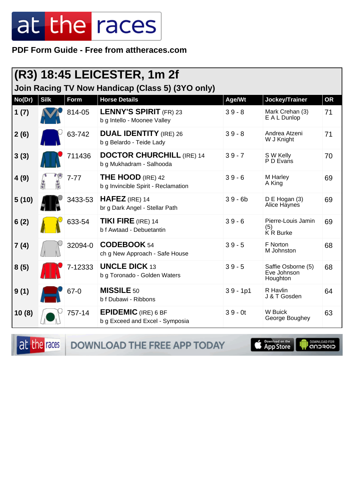PDF Form Guide - Free from attheraces.com

|        | $ $ (R3) 18:45 LEICESTER, 1m 2f                  |          |                                                                 |            |                                               |           |  |  |
|--------|--------------------------------------------------|----------|-----------------------------------------------------------------|------------|-----------------------------------------------|-----------|--|--|
|        | Join Racing TV Now Handicap (Class 5) (3YO only) |          |                                                                 |            |                                               |           |  |  |
| No(Dr) | <b>Silk</b>                                      | Form     | <b>Horse Details</b>                                            | Age/Wt     | Jockey/Trainer                                | <b>OR</b> |  |  |
| 1(7)   |                                                  | 814-05   | <b>LENNY'S SPIRIT (FR) 23</b><br>b g Intello - Moonee Valley    | $39 - 8$   | Mark Crehan (3)<br>E A L Dunlop               | 71        |  |  |
| 2(6)   |                                                  | 63-742   | <b>DUAL IDENTITY</b> (IRE) 26<br>b g Belardo - Teide Lady       | $39 - 8$   | Andrea Atzeni<br>W J Knight                   | 71        |  |  |
| 3(3)   |                                                  | 711436   | <b>DOCTOR CHURCHILL (IRE) 14</b><br>b g Mukhadram - Salhooda    | $39 - 7$   | S W Kelly<br>P D Evans                        | 70        |  |  |
| 4(9)   |                                                  | $7 - 77$ | <b>THE HOOD (IRE) 42</b><br>b g Invincible Spirit - Reclamation | $39 - 6$   | M Harley<br>A King                            | 69        |  |  |
| 5(10)  |                                                  | 3433-53  | $HAFEZ$ (IRE) 14<br>br g Dark Angel - Stellar Path              | $39 - 6b$  | D E Hogan (3)<br>Alice Haynes                 | 69        |  |  |
| 6(2)   |                                                  | 633-54   | <b>TIKI FIRE (IRE) 14</b><br>b f Awtaad - Debuetantin           | $39 - 6$   | Pierre-Louis Jamin<br>(5)<br>K R Burke        | 69        |  |  |
| 7(4)   |                                                  | 32094-0  | CODEBOOK 54<br>ch g New Approach - Safe House                   | $39 - 5$   | F Norton<br>M Johnston                        | 68        |  |  |
| 8(5)   |                                                  | 7-12333  | <b>UNCLE DICK 13</b><br>b g Toronado - Golden Waters            | $39 - 5$   | Saffie Osborne (5)<br>Eve Johnson<br>Houghton | 68        |  |  |
| 9(1)   |                                                  | $67 - 0$ | <b>MISSILE 50</b><br>b f Dubawi - Ribbons                       | $39 - 1p1$ | R Havlin<br>J & T Gosden                      | 64        |  |  |
| 10(8)  |                                                  | 757-14   | <b>EPIDEMIC</b> (IRE) 6 BF<br>b g Exceed and Excel - Symposia   | $39 - 0t$  | <b>W</b> Buick<br>George Boughey              | 63        |  |  |

DOWNLOAD THE FREE APP TODAY at the races

App Store

**DOWNLOAD FOR**